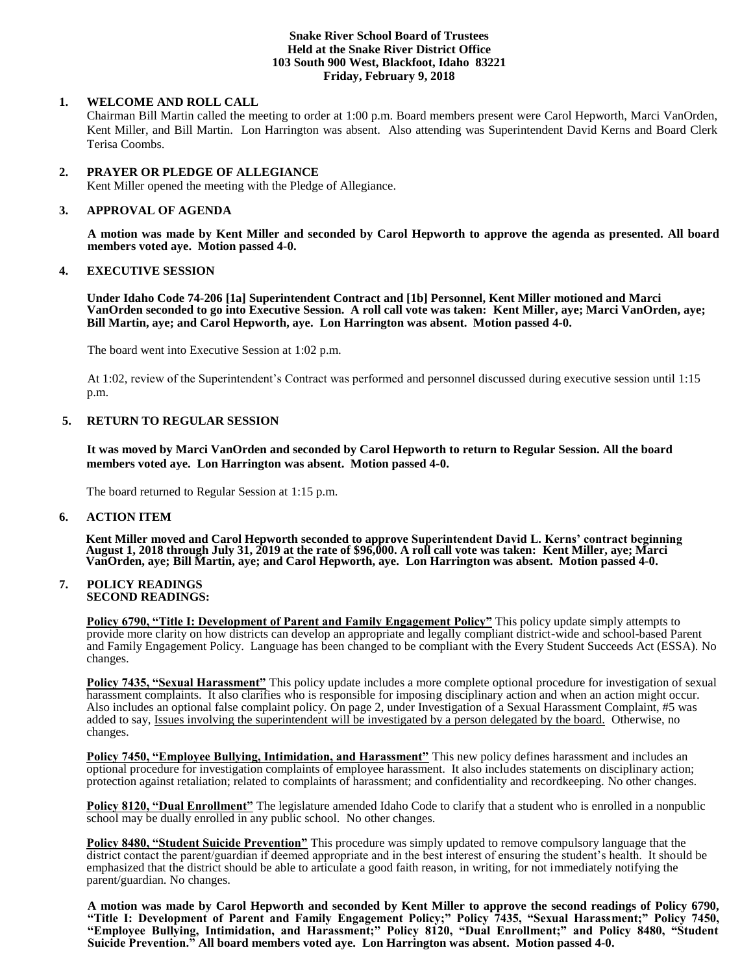#### **Snake River School Board of Trustees Held at the Snake River District Office 103 South 900 West, Blackfoot, Idaho 83221 Friday, February 9, 2018**

# **1. WELCOME AND ROLL CALL**

Chairman Bill Martin called the meeting to order at 1:00 p.m. Board members present were Carol Hepworth, Marci VanOrden, Kent Miller, and Bill Martin. Lon Harrington was absent. Also attending was Superintendent David Kerns and Board Clerk Terisa Coombs.

### **2. PRAYER OR PLEDGE OF ALLEGIANCE**

Kent Miller opened the meeting with the Pledge of Allegiance.

### **3. APPROVAL OF AGENDA**

**A motion was made by Kent Miller and seconded by Carol Hepworth to approve the agenda as presented. All board members voted aye. Motion passed 4-0.**

# **4. EXECUTIVE SESSION**

**Under Idaho Code 74-206 [1a] Superintendent Contract and [1b] Personnel, Kent Miller motioned and Marci VanOrden seconded to go into Executive Session. A roll call vote was taken: Kent Miller, aye; Marci VanOrden, aye; Bill Martin, aye; and Carol Hepworth, aye. Lon Harrington was absent. Motion passed 4-0.** 

The board went into Executive Session at 1:02 p.m.

At 1:02, review of the Superintendent's Contract was performed and personnel discussed during executive session until 1:15 p.m.

# **5. RETURN TO REGULAR SESSION**

**It was moved by Marci VanOrden and seconded by Carol Hepworth to return to Regular Session. All the board members voted aye. Lon Harrington was absent. Motion passed 4-0.** 

The board returned to Regular Session at 1:15 p.m.

### **6. ACTION ITEM**

**Kent Miller moved and Carol Hepworth seconded to approve Superintendent David L. Kerns' contract beginning August 1, 2018 through July 31, 2019 at the rate of \$96,000. A roll call vote was taken: Kent Miller, aye; Marci VanOrden, aye; Bill Martin, aye; and Carol Hepworth, aye. Lon Harrington was absent. Motion passed 4-0.** 

#### **7. POLICY READINGS SECOND READINGS:**

**Policy 6790, "Title I: Development of Parent and Family Engagement Policy"** This policy update simply attempts to provide more clarity on how districts can develop an appropriate and legally compliant district-wide and school-based Parent and Family Engagement Policy. Language has been changed to be compliant with the Every Student Succeeds Act (ESSA). No changes.

**Policy 7435, "Sexual Harassment"** This policy update includes a more complete optional procedure for investigation of sexual harassment complaints. It also clarifies who is responsible for imposing disciplinary action and when an action might occur. Also includes an optional false complaint policy. On page 2, under Investigation of a Sexual Harassment Complaint, #5 was added to say, Issues involving the superintendent will be investigated by a person delegated by the board. Otherwise, no changes.

**Policy 7450, "Employee Bullying, Intimidation, and Harassment"** This new policy defines harassment and includes an optional procedure for investigation complaints of employee harassment. It also includes statements on disciplinary action; protection against retaliation; related to complaints of harassment; and confidentiality and recordkeeping. No other changes.

**Policy 8120, "Dual Enrollment"** The legislature amended Idaho Code to clarify that a student who is enrolled in a nonpublic school may be dually enrolled in any public school. No other changes.

**Policy 8480, "Student Suicide Prevention"** This procedure was simply updated to remove compulsory language that the district contact the parent/guardian if deemed appropriate and in the best interest of ensuring the student's health. It should be emphasized that the district should be able to articulate a good faith reason, in writing, for not immediately notifying the parent/guardian. No changes.

**A motion was made by Carol Hepworth and seconded by Kent Miller to approve the second readings of Policy 6790, "Title I: Development of Parent and Family Engagement Policy;" Policy 7435, "Sexual Harassment;" Policy 7450, "Employee Bullying, Intimidation, and Harassment;" Policy 8120, "Dual Enrollment;" and Policy 8480, "Student Suicide Prevention." All board members voted aye. Lon Harrington was absent. Motion passed 4-0.**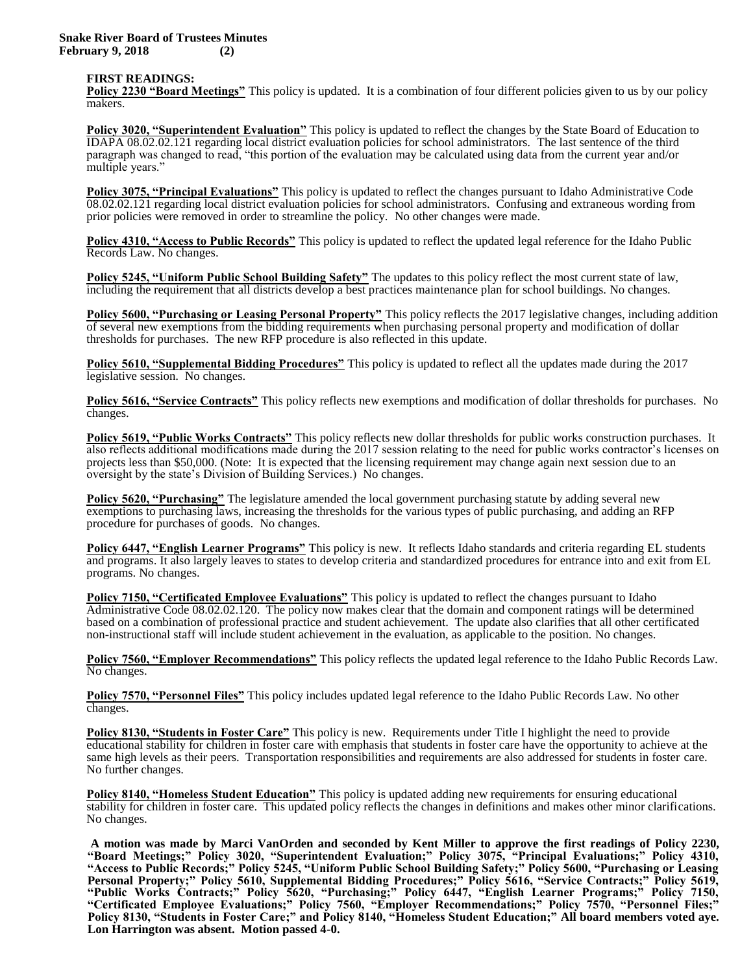#### **FIRST READINGS:**

**Policy 2230 "Board Meetings"** This policy is updated. It is a combination of four different policies given to us by our policy makers.

**Policy 3020, "Superintendent Evaluation"** This policy is updated to reflect the changes by the State Board of Education to IDAPA 08.02.02.121 regarding local district evaluation policies for school administrators. The last sentence of the third paragraph was changed to read, "this portion of the evaluation may be calculated using data from the current year and/or multiple years."

**Policy 3075, "Principal Evaluations"** This policy is updated to reflect the changes pursuant to Idaho Administrative Code 08.02.02.121 regarding local district evaluation policies for school administrators. Confusing and extraneous wording from prior policies were removed in order to streamline the policy. No other changes were made.

**Policy 4310, "Access to Public Records"** This policy is updated to reflect the updated legal reference for the Idaho Public Records Law. No changes.

**Policy 5245, "Uniform Public School Building Safety"** The updates to this policy reflect the most current state of law, including the requirement that all districts develop a best practices maintenance plan for school buildings. No changes.

**Policy 5600, "Purchasing or Leasing Personal Property"** This policy reflects the 2017 legislative changes, including addition of several new exemptions from the bidding requirements when purchasing personal property and modification of dollar thresholds for purchases. The new RFP procedure is also reflected in this update.

**Policy 5610, "Supplemental Bidding Procedures"** This policy is updated to reflect all the updates made during the 2017 legislative session. No changes.

**Policy 5616, "Service Contracts"** This policy reflects new exemptions and modification of dollar thresholds for purchases. No changes.

**Policy 5619, "Public Works Contracts"** This policy reflects new dollar thresholds for public works construction purchases. It also reflects additional modifications made during the 2017 session relating to the need for public works contractor's licenses on projects less than \$50,000. (Note: It is expected that the licensing requirement may change again next session due to an oversight by the state's Division of Building Services.) No changes.

**Policy 5620, "Purchasing"** The legislature amended the local government purchasing statute by adding several new exemptions to purchasing laws, increasing the thresholds for the various types of public purchasing, and adding an RFP procedure for purchases of goods. No changes.

**Policy 6447, "English Learner Programs"** This policy is new. It reflects Idaho standards and criteria regarding EL students and programs. It also largely leaves to states to develop criteria and standardized procedures for entrance into and exit from EL programs. No changes.

**Policy 7150, "Certificated Employee Evaluations"** This policy is updated to reflect the changes pursuant to Idaho Administrative Code 08.02.02.120. The policy now makes clear that the domain and component ratings will be determined based on a combination of professional practice and student achievement. The update also clarifies that all other certificated non-instructional staff will include student achievement in the evaluation, as applicable to the position. No changes.

**Policy 7560, "Employer Recommendations"** This policy reflects the updated legal reference to the Idaho Public Records Law. No changes.

**Policy 7570, "Personnel Files"** This policy includes updated legal reference to the Idaho Public Records Law. No other changes.

**Policy 8130, "Students in Foster Care"** This policy is new. Requirements under Title I highlight the need to provide educational stability for children in foster care with emphasis that students in foster care have the opportunity to achieve at the same high levels as their peers. Transportation responsibilities and requirements are also addressed for students in foster care. No further changes.

**Policy 8140, "Homeless Student Education"** This policy is updated adding new requirements for ensuring educational stability for children in foster care. This updated policy reflects the changes in definitions and makes other minor clarifications. No changes.

**A motion was made by Marci VanOrden and seconded by Kent Miller to approve the first readings of Policy 2230, "Board Meetings;" Policy 3020, "Superintendent Evaluation;" Policy 3075, "Principal Evaluations;" Policy 4310, "Access to Public Records;" Policy 5245, "Uniform Public School Building Safety;" Policy 5600, "Purchasing or Leasing Personal Property;" Policy 5610, Supplemental Bidding Procedures;" Policy 5616, "Service Contracts;" Policy 5619, "Public Works Contracts;" Policy 5620, "Purchasing;" Policy 6447, "English Learner Programs;" Policy 7150, "Certificated Employee Evaluations;" Policy 7560, "Employer Recommendations;" Policy 7570, "Personnel Files;" Policy 8130, "Students in Foster Care;" and Policy 8140, "Homeless Student Education;" All board members voted aye. Lon Harrington was absent. Motion passed 4-0.**